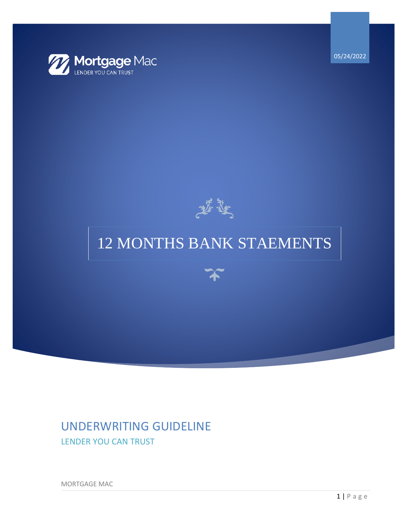

05/24/2022



# 12 MONTHS BANK STAEMENTS



## UNDERWRITING GUIDELINE LENDER YOU CAN TRUST

MORTGAGE MAC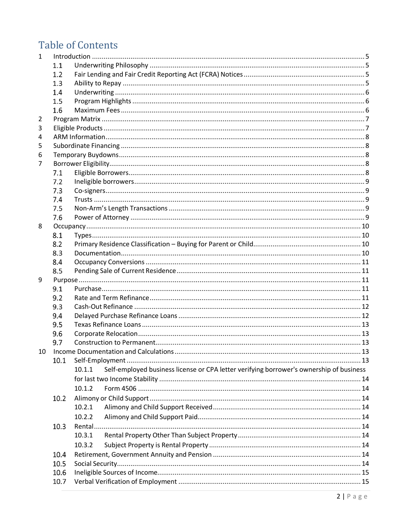## **Table of Contents**

| $\mathbf{1}$ |      |                                                                                                   |  |  |  |  |  |
|--------------|------|---------------------------------------------------------------------------------------------------|--|--|--|--|--|
|              | 1.1  |                                                                                                   |  |  |  |  |  |
|              | 1.2  |                                                                                                   |  |  |  |  |  |
|              | 1.3  |                                                                                                   |  |  |  |  |  |
|              | 1.4  |                                                                                                   |  |  |  |  |  |
|              | 1.5  |                                                                                                   |  |  |  |  |  |
|              | 1.6  |                                                                                                   |  |  |  |  |  |
| 2            |      |                                                                                                   |  |  |  |  |  |
| 3            |      |                                                                                                   |  |  |  |  |  |
| 4            |      |                                                                                                   |  |  |  |  |  |
| 5            |      |                                                                                                   |  |  |  |  |  |
| 6            |      |                                                                                                   |  |  |  |  |  |
| 7            |      |                                                                                                   |  |  |  |  |  |
|              | 7.1  |                                                                                                   |  |  |  |  |  |
|              | 7.2  |                                                                                                   |  |  |  |  |  |
|              | 7.3  |                                                                                                   |  |  |  |  |  |
|              | 7.4  |                                                                                                   |  |  |  |  |  |
|              | 7.5  |                                                                                                   |  |  |  |  |  |
|              | 7.6  |                                                                                                   |  |  |  |  |  |
| 8            |      |                                                                                                   |  |  |  |  |  |
|              | 8.1  |                                                                                                   |  |  |  |  |  |
|              | 8.2  |                                                                                                   |  |  |  |  |  |
|              | 8.3  |                                                                                                   |  |  |  |  |  |
|              | 8.4  |                                                                                                   |  |  |  |  |  |
|              | 8.5  |                                                                                                   |  |  |  |  |  |
| 9            |      |                                                                                                   |  |  |  |  |  |
|              | 9.1  |                                                                                                   |  |  |  |  |  |
|              | 9.2  |                                                                                                   |  |  |  |  |  |
|              | 9.3  |                                                                                                   |  |  |  |  |  |
|              | 9.4  |                                                                                                   |  |  |  |  |  |
|              | 9.5  |                                                                                                   |  |  |  |  |  |
|              | 9.6  |                                                                                                   |  |  |  |  |  |
|              | 9.7  |                                                                                                   |  |  |  |  |  |
|              |      |                                                                                                   |  |  |  |  |  |
|              | 10.1 |                                                                                                   |  |  |  |  |  |
|              |      | Self-employed business license or CPA letter verifying borrower's ownership of business<br>10.1.1 |  |  |  |  |  |
|              |      |                                                                                                   |  |  |  |  |  |
|              |      | 10.1.2                                                                                            |  |  |  |  |  |
|              | 10.2 |                                                                                                   |  |  |  |  |  |
|              |      | 10.2.1                                                                                            |  |  |  |  |  |
|              |      | 10.2.2                                                                                            |  |  |  |  |  |
|              | 10.3 |                                                                                                   |  |  |  |  |  |
|              |      | 10.3.1                                                                                            |  |  |  |  |  |
|              |      |                                                                                                   |  |  |  |  |  |
|              |      | 10.3.2                                                                                            |  |  |  |  |  |
|              | 10.4 |                                                                                                   |  |  |  |  |  |
|              | 10.5 |                                                                                                   |  |  |  |  |  |
|              | 10.6 |                                                                                                   |  |  |  |  |  |
|              | 10.7 |                                                                                                   |  |  |  |  |  |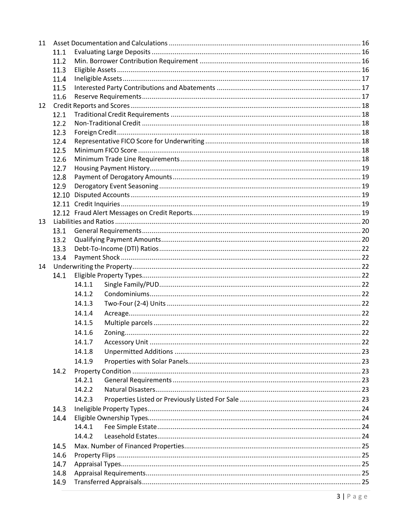| 11 |       |        |  |  |  |  |
|----|-------|--------|--|--|--|--|
|    | 11.1  |        |  |  |  |  |
|    | 11.2  |        |  |  |  |  |
|    | 11.3  |        |  |  |  |  |
|    | 11.4  |        |  |  |  |  |
|    | 11.5  |        |  |  |  |  |
|    | 11.6  |        |  |  |  |  |
| 12 |       |        |  |  |  |  |
|    |       |        |  |  |  |  |
|    | 12.2  |        |  |  |  |  |
|    | 12.3  |        |  |  |  |  |
|    | 12.4  |        |  |  |  |  |
|    | 12.5  |        |  |  |  |  |
|    | 12.6  |        |  |  |  |  |
|    | 12.7  |        |  |  |  |  |
|    | 12.8  |        |  |  |  |  |
|    | 12.9  |        |  |  |  |  |
|    | 12.10 |        |  |  |  |  |
|    |       |        |  |  |  |  |
|    |       |        |  |  |  |  |
| 13 |       |        |  |  |  |  |
|    | 13.1  |        |  |  |  |  |
|    | 13.2  |        |  |  |  |  |
|    | 13.3  |        |  |  |  |  |
|    | 13.4  |        |  |  |  |  |
| 14 |       |        |  |  |  |  |
|    | 14.1  |        |  |  |  |  |
|    |       | 14.1.1 |  |  |  |  |
|    |       | 14.1.2 |  |  |  |  |
|    |       | 14.1.3 |  |  |  |  |
|    |       | 14.1.4 |  |  |  |  |
|    |       | 14.1.5 |  |  |  |  |
|    |       | 14.1.6 |  |  |  |  |
|    |       | 14.1.7 |  |  |  |  |
|    |       | 14.1.8 |  |  |  |  |
|    |       | 14.1.9 |  |  |  |  |
|    | 14.2  |        |  |  |  |  |
|    |       | 14.2.1 |  |  |  |  |
|    |       | 14.2.2 |  |  |  |  |
|    |       | 14.2.3 |  |  |  |  |
|    | 14.3  |        |  |  |  |  |
|    | 14.4  |        |  |  |  |  |
|    |       | 14.4.1 |  |  |  |  |
|    |       | 14.4.2 |  |  |  |  |
|    | 14.5  |        |  |  |  |  |
|    | 14.6  |        |  |  |  |  |
|    | 14.7  |        |  |  |  |  |
|    | 14.8  |        |  |  |  |  |
|    | 14.9  |        |  |  |  |  |
|    |       |        |  |  |  |  |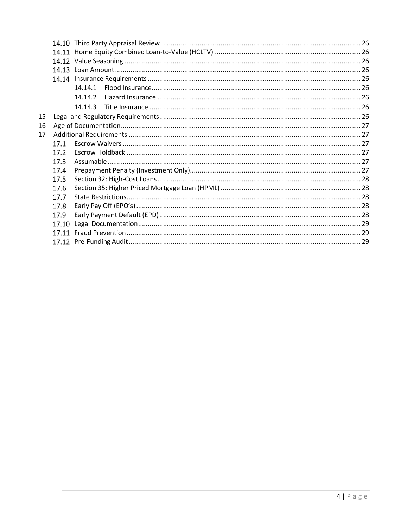|    | 14.10 |         |  |  |  |  |
|----|-------|---------|--|--|--|--|
|    | 14.11 |         |  |  |  |  |
|    |       |         |  |  |  |  |
|    |       |         |  |  |  |  |
|    | 14.14 |         |  |  |  |  |
|    |       | 14.14.1 |  |  |  |  |
|    |       | 14.14.2 |  |  |  |  |
|    |       | 14.14.3 |  |  |  |  |
| 15 |       |         |  |  |  |  |
| 16 |       |         |  |  |  |  |
| 17 |       |         |  |  |  |  |
|    | 17.1  |         |  |  |  |  |
|    | 17.2  |         |  |  |  |  |
|    | 17.3  |         |  |  |  |  |
|    | 17.4  |         |  |  |  |  |
|    | 17.5  |         |  |  |  |  |
|    | 17.6  |         |  |  |  |  |
|    | 17.7  |         |  |  |  |  |
|    | 17.8  |         |  |  |  |  |
|    | 17.9  |         |  |  |  |  |
|    | 17.10 |         |  |  |  |  |
|    | 17.11 |         |  |  |  |  |
|    |       |         |  |  |  |  |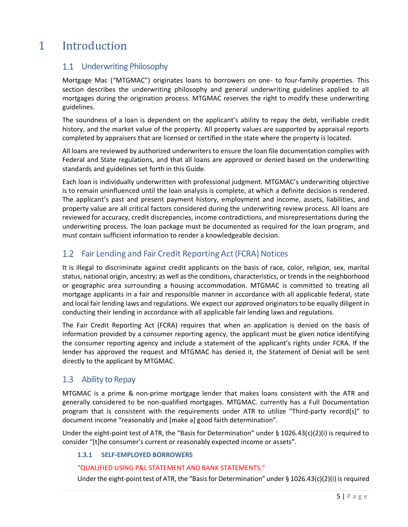## <span id="page-4-1"></span><span id="page-4-0"></span>1 Introduction

## 1.1 Underwriting Philosophy

Mortgage Mac ("MTGMAC") originates loans to borrowers on one- to four-family properties. This section describes the underwriting philosophy and general underwriting guidelines applied to all mortgages during the origination process. MTGMAC reserves the right to modify these underwriting guidelines.

The soundness of a loan is dependent on the applicant's ability to repay the debt, verifiable credit history, and the market value of the property. All property values are supported by appraisal reports completed by appraisers that are licensed or certified in the state where the property is located.

All loans are reviewed by authorized underwriters to ensure the loan file documentation complies with Federal and State regulations, and that all loans are approved or denied based on the underwriting standards and guidelines set forth in this Guide.

Each loan is individually underwritten with professional judgment. MTGMAC's underwriting objective is to remain uninfluenced until the loan analysis is complete, at which a definite decision is rendered. The applicant's past and present payment history, employment and income, assets, liabilities, and property value are all critical factors considered during the underwriting review process. All loans are reviewed for accuracy, credit discrepancies, income contradictions, and misrepresentations during the underwriting process. The loan package must be documented as required for the loan program, and must contain sufficient information to render a knowledgeable decision.

#### <span id="page-4-2"></span> $1.2$ Fair Lending and Fair Credit Reporting Act (FCRA) Notices

It is illegal to discriminate against credit applicants on the basis of race, color, religion, sex, marital status, national origin, ancestry; as well as the conditions, characteristics, or trends in the neighborhood or geographic area surrounding a housing accommodation. MTGMAC is committed to treating all mortgage applicants in a fair and responsible manner in accordance with all applicable federal, state and local fair lending laws and regulations. We expect our approved originators to be equally diligent in conducting their lending in accordance with all applicable fair lending laws and regulations.

The Fair Credit Reporting Act (FCRA) requires that when an application is denied on the basis of information provided by a consumer reporting agency, the applicant must be given notice identifying the consumer reporting agency and include a statement of the applicant's rights under FCRA. If the lender has approved the request and MTGMAC has denied it, the Statement of Denial will be sent directly to the applicant by MTGMAC.

## <span id="page-4-3"></span>1.3 Ability to Repay

MTGMAC is a prime & non-prime mortgage lender that makes loans consistent with the ATR and generally considered to be non-qualified mortgages. MTGMAC. currently has a Full Documentation program that is consistent with the requirements under ATR to utilize "Third-party record[s]" to document income "reasonably and [make a] good faith determination".

Under the eight-point test of ATR, the "Basis for Determination" under § 1026.43(c)(2)(i) is required to consider "[t]he consumer's current or reasonably expected income or assets".

#### **1.3.1 SELF-EMPLOYED BORROWERS**

#### "QUALIFIED USING P&L STATEMENT AND BANK STATEMENTS."

Under the eight-point test of ATR, the "Basis for Determination" under § 1026.43(c)(2)(i) is required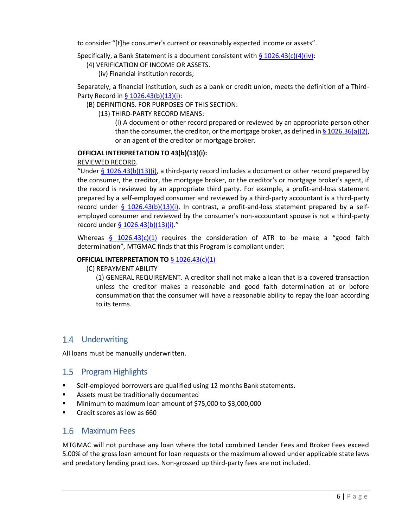to consider "[t]he consumer's current or reasonably expected income or assets".

Specifically, a Bank Statement is a document consistent with  $\S 1026.43(c)(4)(iv)$ :

- (4) VERIFICATION OF INCOME OR ASSETS.
	- (iv) Financial institution records;

Separately, a financial institution, such as a bank or credit union, meets the definition of a Third-Party Record in [§ 1026.43\(b\)\(13\)\(i\):](https://www.law.cornell.edu/cfr/text/12/1026.43)

(B) DEFINITIONS. FOR PURPOSES OF THIS SECTION:

(13) THIRD-PARTY RECORD MEANS:

(i) A document or other record prepared or reviewed by an appropriate person other than the consumer, the creditor, or the mortgage broker, as defined in  $\S$  1026.36(a)(2), or an agent of the creditor or mortgage broker.

#### **OFFICIAL INTERPRETATION TO 43(b)(13)(i):**

#### REVIEWED RECORD.

"Under  $\S$  1026.43(b)(13)(i), a third-party record includes a document or other record prepared by the consumer, the creditor, the mortgage broker, or the creditor's or mortgage broker's agent, if the record is reviewed by an appropriate third party. For example, a profit-and-loss statement prepared by a self-employed consumer and reviewed by a third-party accountant is a third-party record under [§ 1026.43\(b\)\(13\)\(i\).](https://www.law.cornell.edu/cfr/text/12/1026.43) In contrast, a profit-and-loss statement prepared by a selfemployed consumer and reviewed by the consumer's non-accountant spouse is not a third-party record under [§ 1026.43\(b\)\(13\)\(i\)](https://www.law.cornell.edu/cfr/text/12/1026.43)."

Whereas  $\frac{6}{9}$  [1026.43\(c\)\(1\)](https://www.law.cornell.edu/cfr/text/12/1026.43) requires the consideration of ATR to be make a "good faith determination", MTGMAC finds that this Program is compliant under:

#### **OFFICIAL INTERPRETATION TO** [§ 1026.43\(c\)\(1\)](https://www.law.cornell.edu/cfr/text/12/1026.43)

(C) REPAYMENT ABILITY

(1) GENERAL REQUIREMENT. A creditor shall not make a loan that is a covered transaction unless the creditor makes a reasonable and good faith determination at or before consummation that the consumer will have a reasonable ability to repay the loan according to its terms.

## <span id="page-5-0"></span>1.4 Underwriting

All loans must be manually underwritten.

### <span id="page-5-1"></span>1.5 Program Highlights

- Self-employed borrowers are qualified using 12 months Bank statements.
- Assets must be traditionally documented
- Minimum to maximum loan amount of  $$75,000$  to  $$3,000,000$
- <span id="page-5-2"></span>Credit scores as low as 660

### Maximum Fees

MTGMAC will not purchase any loan where the total combined Lender Fees and Broker Fees exceed 5.00% of the gross loan amount for loan requests or the maximum allowed under applicable state laws and predatory lending practices. Non-grossed up third-party fees are not included.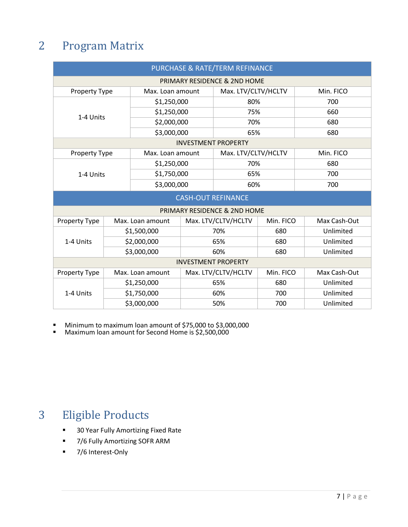## <span id="page-6-0"></span>2 Program Matrix

| PURCHASE & RATE/TERM REFINANCE           |                            |                  |                     |                              |           |              |  |  |
|------------------------------------------|----------------------------|------------------|---------------------|------------------------------|-----------|--------------|--|--|
| PRIMARY RESIDENCE & 2ND HOME             |                            |                  |                     |                              |           |              |  |  |
| Property Type                            |                            | Max. Loan amount |                     | Max. LTV/CLTV/HCLTV          |           | Min. FICO    |  |  |
|                                          |                            | \$1,250,000      |                     | 80%                          |           | 700          |  |  |
| 1-4 Units                                |                            | \$1,250,000      |                     | 75%                          |           | 660          |  |  |
|                                          |                            | \$2,000,000      |                     | 70%                          |           | 680          |  |  |
|                                          |                            | \$3,000,000      |                     | 65%                          |           | 680          |  |  |
| <b>INVESTMENT PROPERTY</b>               |                            |                  |                     |                              |           |              |  |  |
| Property Type                            |                            | Max. Loan amount |                     | Max. LTV/CLTV/HCLTV          |           | Min. FICO    |  |  |
|                                          |                            | \$1,250,000      |                     | 70%                          |           | 680          |  |  |
| 1-4 Units                                |                            | \$1,750,000      |                     | 65%                          |           | 700          |  |  |
|                                          |                            | \$3,000,000      |                     | 60%                          |           | 700          |  |  |
| <b>CASH-OUT REFINANCE</b>                |                            |                  |                     |                              |           |              |  |  |
|                                          |                            |                  |                     | PRIMARY RESIDENCE & 2ND HOME |           |              |  |  |
| <b>Property Type</b>                     |                            | Max. Loan amount |                     | Max. LTV/CLTV/HCLTV          | Min. FICO | Max Cash-Out |  |  |
|                                          | \$1,500,000<br>\$2,000,000 |                  | 70%                 |                              | 680       | Unlimited    |  |  |
| 1-4 Units                                |                            |                  | 65%                 |                              | 680       | Unlimited    |  |  |
|                                          | \$3,000,000                |                  | 60%                 |                              | 680       | Unlimited    |  |  |
| <b>INVESTMENT PROPERTY</b>               |                            |                  |                     |                              |           |              |  |  |
| Max. Loan amount<br><b>Property Type</b> |                            |                  | Max. LTV/CLTV/HCLTV |                              | Min. FICO | Max Cash-Out |  |  |
|                                          | \$1,250,000                |                  | 65%                 |                              | 680       | Unlimited    |  |  |
| 1-4 Units                                | \$1,750,000                |                  | 60%                 |                              | 700       | Unlimited    |  |  |
|                                          | \$3,000,000                |                  |                     | 50%                          | 700       | Unlimited    |  |  |

■ Minimum to maximum loan amount of \$75,000 to \$3,000,000

■ Maximum loan amount for Second Home is \$2,500,000

## <span id="page-6-1"></span>3 Eligible Products

- 30 Year Fully Amortizing Fixed Rate
- 7/6 Fully Amortizing SOFR ARM
- 7/6 Interest-Only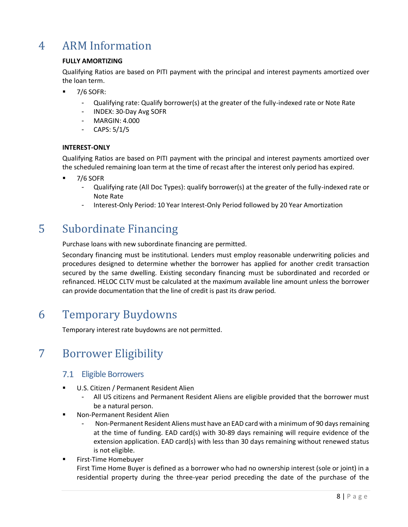## <span id="page-7-0"></span>4 ARM Information

#### **FULLY AMORTIZING**

Qualifying Ratios are based on PITI payment with the principal and interest payments amortized over the loan term.

- 7/6 SOFR:
	- Qualifying rate: Qualify borrower(s) at the greater of the fully-indexed rate or Note Rate
	- INDEX: 30-Day Avg SOFR
	- MARGIN: 4.000
	- CAPS: 5/1/5

#### **INTEREST-ONLY**

Qualifying Ratios are based on PITI payment with the principal and interest payments amortized over the scheduled remaining loan term at the time of recast after the interest only period has expired.

- **7/6 SOFR** 
	- Qualifying rate (All Doc Types): qualify borrower(s) at the greater of the fully-indexed rate or Note Rate
	- Interest-Only Period: 10 Year Interest-Only Period followed by 20 Year Amortization

## <span id="page-7-1"></span>5 Subordinate Financing

Purchase loans with new subordinate financing are permitted.

Secondary financing must be institutional. Lenders must employ reasonable underwriting policies and procedures designed to determine whether the borrower has applied for another credit transaction secured by the same dwelling. Existing secondary financing must be subordinated and recorded or refinanced. HELOC CLTV must be calculated at the maximum available line amount unless the borrower can provide documentation that the line of credit is past its draw period.

## <span id="page-7-2"></span>6 Temporary Buydowns

Temporary interest rate buydowns are not permitted.

## <span id="page-7-4"></span><span id="page-7-3"></span>7 Borrower Eligibility

## 7.1 Eligible Borrowers

- U.S. Citizen / Permanent Resident Alien
	- All US citizens and Permanent Resident Aliens are eligible provided that the borrower must be a natural person.
- Non-Permanent Resident Alien
	- Non-Permanent Resident Aliens must have an EAD card with a minimum of 90 days remaining at the time of funding. EAD card(s) with 30-89 days remaining will require evidence of the extension application. EAD card(s) with less than 30 days remaining without renewed status is not eligible.
- **■** First-Time Homebuyer

First Time Home Buyer is defined as a borrower who had no ownership interest (sole or joint) in a residential property during the three-year period preceding the date of the purchase of the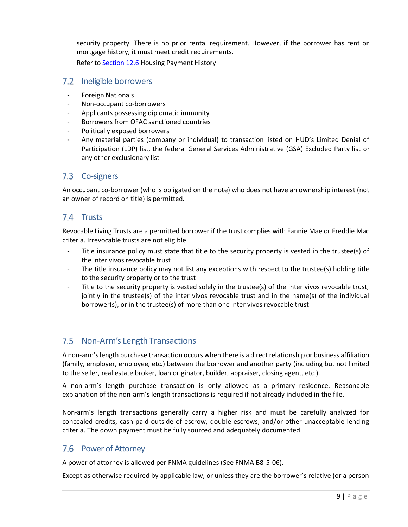security property. There is no prior rental requirement. However, if the borrower has rent or mortgage history, it must meet credit requirements.

Refer to [Section 12.6](#page-18-0) Housing Payment History

### <span id="page-8-0"></span>7.2 Ineligible borrowers

- Foreign Nationals
- Non-occupant co-borrowers
- Applicants possessing diplomatic immunity
- Borrowers from OFAC sanctioned countries
- Politically exposed borrowers
- Any material parties (company or individual) to transaction listed on HUD's Limited Denial of Participation (LDP) list, the federal General Services Administrative (GSA) Excluded Party list or any other exclusionary list

## <span id="page-8-1"></span>7.3 Co-signers

An occupant co-borrower (who is obligated on the note) who does not have an ownership interest (not an owner of record on title) is permitted.

## <span id="page-8-2"></span>7.4 Trusts

Revocable Living Trusts are a permitted borrower if the trust complies with Fannie Mae or Freddie Mac criteria. Irrevocable trusts are not eligible.

- Title insurance policy must state that title to the security property is vested in the trustee(s) of the inter vivos revocable trust
- The title insurance policy may not list any exceptions with respect to the trustee(s) holding title to the security property or to the trust
- Title to the security property is vested solely in the trustee(s) of the inter vivos revocable trust, jointly in the trustee(s) of the inter vivos revocable trust and in the name(s) of the individual borrower(s), or in the trustee(s) of more than one inter vivos revocable trust

## <span id="page-8-3"></span>7.5 Non-Arm's Length Transactions

A non-arm's length purchase transaction occurs when there is a direct relationship or business affiliation (family, employer, employee, etc.) between the borrower and another party (including but not limited to the seller, real estate broker, loan originator, builder, appraiser, closing agent, etc.).

A non-arm's length purchase transaction is only allowed as a primary residence. Reasonable explanation of the non-arm's length transactions is required if not already included in the file.

Non-arm's length transactions generally carry a higher risk and must be carefully analyzed for concealed credits, cash paid outside of escrow, double escrows, and/or other unacceptable lending criteria. The down payment must be fully sourced and adequately documented.

### <span id="page-8-4"></span>7.6 Power of Attorney

A power of attorney is allowed per FNMA guidelines (See FNMA B8-5-06).

Except as otherwise required by applicable law, or unless they are the borrower's relative (or a person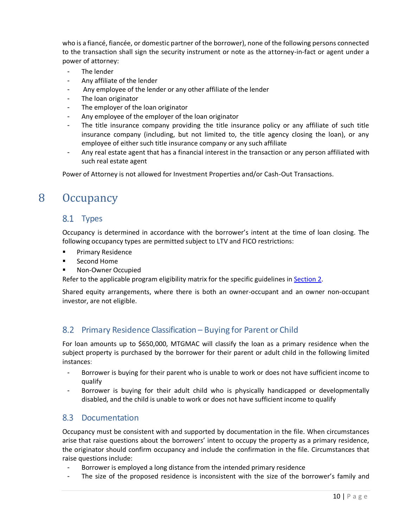who is a fiancé, fiancée, or domestic partner of the borrower), none of the following persons connected to the transaction shall sign the security instrument or note as the attorney-in-fact or agent under a power of attorney:

- The lender
- Any affiliate of the lender
- Any employee of the lender or any other affiliate of the lender
- The loan originator
- The employer of the loan originator
- Any employee of the employer of the loan originator
- The title insurance company providing the title insurance policy or any affiliate of such title insurance company (including, but not limited to, the title agency closing the loan), or any employee of either such title insurance company or any such affiliate
- Any real estate agent that has a financial interest in the transaction or any person affiliated with such real estate agent

Power of Attorney is not allowed for Investment Properties and/or Cash-Out Transactions.

## <span id="page-9-1"></span><span id="page-9-0"></span>8 Occupancy

### 8.1 Types

Occupancy is determined in accordance with the borrower's intent at the time of loan closing. The following occupancy types are permitted subject to LTV and FICO restrictions:

- **■** Primary Residence
- Second Home
- Non-Owner Occupied

Refer to the applicable program eligibility matrix for the specific guidelines in [Section 2.](#page-6-0)

Shared equity arrangements, where there is both an owner-occupant and an owner non-occupant investor, are not eligible.

### <span id="page-9-2"></span>8.2 Primary Residence Classification – Buying for Parent or Child

For loan amounts up to \$650,000, MTGMAC will classify the loan as a primary residence when the subject property is purchased by the borrower for their parent or adult child in the following limited instances:

- Borrower is buying for their parent who is unable to work or does not have sufficient income to qualify
- Borrower is buying for their adult child who is physically handicapped or developmentally disabled, and the child is unable to work or does not have sufficient income to qualify

### <span id="page-9-3"></span>8.3 Documentation

Occupancy must be consistent with and supported by documentation in the file. When circumstances arise that raise questions about the borrowers' intent to occupy the property as a primary residence, the originator should confirm occupancy and include the confirmation in the file. Circumstances that raise questions include:

- Borrower is employed a long distance from the intended primary residence
- The size of the proposed residence is inconsistent with the size of the borrower's family and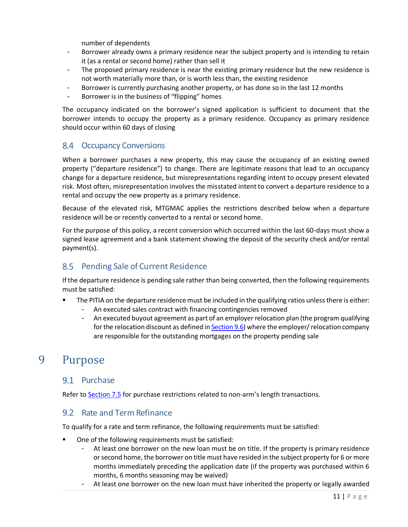number of dependents

- Borrower already owns a primary residence near the subject property and is intending to retain it (as a rental or second home) rather than sell it
- The proposed primary residence is near the existing primary residence but the new residence is not worth materially more than, or is worth less than, the existing residence
- Borrower is currently purchasing another property, or has done so in the last 12 months
- <span id="page-10-5"></span>Borrower is in the business of "flipping" homes

The occupancy indicated on the borrower's signed application is sufficient to document that the borrower intends to occupy the property as a primary residence. Occupancy as primary residence should occur within 60 days of closing

## <span id="page-10-0"></span>8.4 Occupancy Conversions

When a borrower purchases a new property, this may cause the occupancy of an existing owned property ("departure residence") to change. There are legitimate reasons that lead to an occupancy change for a departure residence, but misrepresentations regarding intent to occupy present elevated risk. Most often, misrepresentation involves the misstated intent to convert a departure residence to a rental and occupy the new property as a primary residence.

Because of the elevated risk, MTGMAC applies the restrictions described below when a departure residence will be or recently converted to a rental or second home.

For the purpose of this policy, a recent conversion which occurred within the last 60-days must show a signed lease agreement and a bank statement showing the deposit of the security check and/or rental payment(s).

## <span id="page-10-1"></span>8.5 Pending Sale of Current Residence

If the departure residence is pending sale rather than being converted, then the following requirements must be satisfied:

- The PITIA on the departure residence must be included in the qualifying ratios unless there is either:
	- An executed sales contract with financing contingencies removed
	- An executed buyout agreement as part of an employer relocation plan (the program qualifying for the relocation discount as defined i[n Section](#page-12-1) 9.6) where the employer/relocation company are responsible for the outstanding mortgages on the property pending sale

## <span id="page-10-3"></span><span id="page-10-2"></span>9 Purpose

### 9.1 Purchase

Refer to [Section](#page-8-3) 7.5 for purchase restrictions related to non-arm's length transactions.

### <span id="page-10-4"></span>9.2 Rate and Term Refinance

To qualify for a rate and term refinance, the following requirements must be satisfied:

- One of the following requirements must be satisfied:
	- At least one borrower on the new loan must be on title. If the property is primary residence or second home, the borrower on title must have resided in the subject property for 6 or more months immediately preceding the application date (if the property was purchased within 6 months, 6 months seasoning may be waived)
	- At least one borrower on the new loan must have inherited the property or legally awarded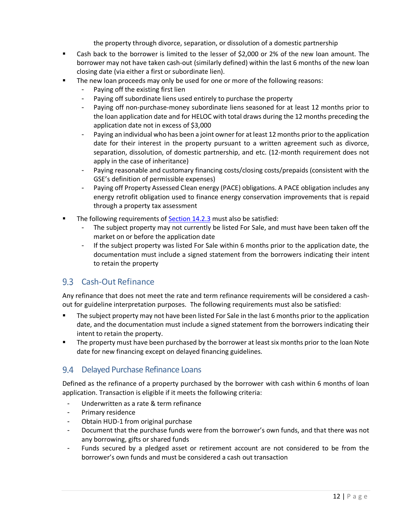the property through divorce, separation, or dissolution of a domestic partnership

- Cash back to the borrower is limited to the lesser of \$2,000 or 2% of the new loan amount. The borrower may not have taken cash-out (similarly defined) within the last 6 months of the new loan closing date (via either a first or subordinate lien).
- **The new loan proceeds may only be used for one or more of the following reasons:** 
	- Paying off the existing first lien
	- Paying off subordinate liens used entirely to purchase the property
	- Paying off non-purchase-money subordinate liens seasoned for at least 12 months prior to the loan application date and for HELOC with total draws during the 12 months preceding the application date not in excess of \$3,000
	- Paying an individual who has been a joint owner for at least 12 months prior to the application date for their interest in the property pursuant to a written agreement such as divorce, separation, dissolution, of domestic partnership, and etc. (12-month requirement does not apply in the case of inheritance)
	- Paying reasonable and customary financing costs/closing costs/prepaids (consistent with the GSE's definition of permissible expenses)
	- Paying off Property Assessed Clean energy (PACE) obligations. A PACE obligation includes any energy retrofit obligation used to finance energy conservation improvements that is repaid through a property tax assessment
- The following requirements of [Section 14.2.3](#page-22-5) must also be satisfied:
	- The subject property may not currently be listed For Sale, and must have been taken off the market on or before the application date
	- If the subject property was listed For Sale within 6 months prior to the application date, the documentation must include a signed statement from the borrowers indicating their intent to retain the property

## <span id="page-11-0"></span>9.3 Cash-Out Refinance

Any refinance that does not meet the rate and term refinance requirements will be considered a cashout for guideline interpretation purposes. The following requirements must also be satisfied:

- The subject property may not have been listed For Sale in the last 6 months prior to the application date, and the documentation must include a signed statement from the borrowers indicating their intent to retain the property.
- **The property must have been purchased by the borrower at least six months prior to the loan Note** date for new financing except on delayed financing guidelines.

## <span id="page-11-1"></span>9.4 Delayed Purchase Refinance Loans

Defined as the refinance of a property purchased by the borrower with cash within 6 months of loan application. Transaction is eligible if it meets the following criteria:

- Underwritten as a rate & term refinance
- Primary residence
- Obtain HUD-1 from original purchase
- Document that the purchase funds were from the borrower's own funds, and that there was not any borrowing, gifts or shared funds
- Funds secured by a pledged asset or retirement account are not considered to be from the borrower's own funds and must be considered a cash out transaction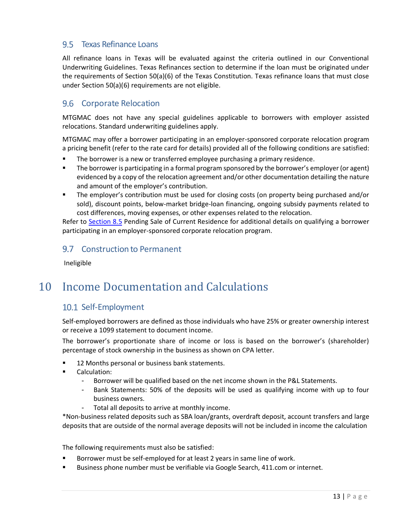## <span id="page-12-0"></span>9.5 Texas Refinance Loans

All refinance loans in Texas will be evaluated against the criteria outlined in our Conventional Underwriting Guidelines. Texas Refinances section to determine if the loan must be originated under the requirements of Section 50(a)(6) of the Texas Constitution. Texas refinance loans that must close under Section 50(a)(6) requirements are not eligible.

## <span id="page-12-1"></span>9.6 Corporate Relocation

MTGMAC does not have any special guidelines applicable to borrowers with employer assisted relocations. Standard underwriting guidelines apply.

MTGMAC may offer a borrower participating in an employer-sponsored corporate relocation program a pricing benefit (refer to the rate card for details) provided all of the following conditions are satisfied:

- The borrower is a new or transferred employee purchasing a primary residence.
- **•** The borrower is participating in a formal program sponsored by the borrower's employer (or agent) evidenced by a copy of the relocation agreement and/or other documentation detailing the nature and amount of the employer's contribution.
- The employer's contribution must be used for closing costs (on property being purchased and/or sold), discount points, below-market bridge-loan financing, ongoing subsidy payments related to cost differences, moving expenses, or other expenses related to the relocation.

Refer to [Section](#page-10-1) 8.5 Pending Sale of Current Residence for additional details on qualifying a borrower participating in an employer-sponsored corporate relocation program.

## <span id="page-12-2"></span>9.7 Construction to Permanent

Ineligible

## <span id="page-12-4"></span><span id="page-12-3"></span>10 Income Documentation and Calculations

## 10.1 Self-Employment

Self-employed borrowers are defined as those individuals who have 25% or greater ownership interest or receive a 1099 statement to document income.

The borrower's proportionate share of income or loss is based on the borrower's (shareholder) percentage of stock ownership in the business as shown on CPA letter.

- 12 Months personal or business bank statements.
- Calculation:
	- Borrower will be qualified based on the net income shown in the P&L Statements.
	- Bank Statements: 50% of the deposits will be used as qualifying income with up to four business owners.
	- Total all deposits to arrive at monthly income.

\*Non-business related deposits such as SBA loan/grants, overdraft deposit, account transfers and large deposits that are outside of the normal average deposits will not be included in income the calculation

The following requirements must also be satisfied:

- Borrower must be self-employed for at least 2 years in same line of work.
- Business phone number must be verifiable via Google Search, 411.com or internet.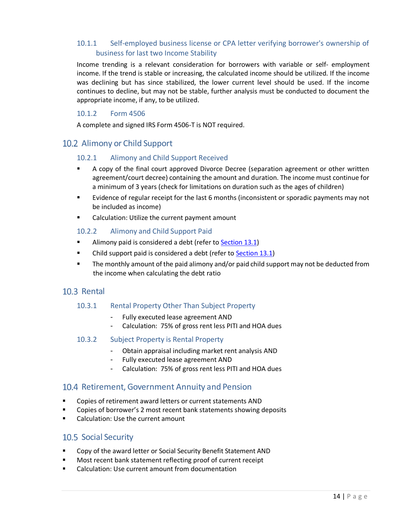## <span id="page-13-0"></span>10.1.1 Self-employed business license or CPA letter verifying borrower's ownership of business for last two Income Stability

Income trending is a relevant consideration for borrowers with variable or self- employment income. If the trend is stable or increasing, the calculated income should be utilized. If the income was declining but has since stabilized, the lower current level should be used. If the income continues to decline, but may not be stable, further analysis must be conducted to document the appropriate income, if any, to be utilized.

#### 10.1.2 Form 4506

A complete and signed IRS Form 4506-T is NOT required.

## <span id="page-13-3"></span><span id="page-13-2"></span><span id="page-13-1"></span>10.2 Alimony or Child Support

#### 10.2.1 Alimony and Child Support Received

- A copy of the final court approved Divorce Decree (separation agreement or other written agreement/court decree) containing the amount and duration. The income must continue for a minimum of 3 years (check for limitations on duration such as the ages of children)
- Evidence of regular receipt for the last 6 months (inconsistent or sporadic payments may not be included as income)
- Calculation: Utilize the current payment amount

#### <span id="page-13-4"></span>10.2.2 Alimony and Child Support Paid

- Alimony paid is considered a debt (refer to [Section](#page-19-1) 13.1)
- Child support paid is considered a debt (refer to [Section](#page-19-1) 13.1)
- **■** The monthly amount of the paid alimony and/or paid child support may not be deducted from the income when calculating the debt ratio

### <span id="page-13-6"></span><span id="page-13-5"></span>10.3 Rental

#### 10.3.1 Rental Property Other Than Subject Property

- Fully executed lease agreement AND
- Calculation: 75% of gross rent less PITI and HOA dues
- <span id="page-13-7"></span>10.3.2 Subject Property is Rental Property
	- Obtain appraisal including market rent analysis AND
	- Fully executed lease agreement AND
	- Calculation: 75% of gross rent less PITI and HOA dues

### <span id="page-13-8"></span>10.4 Retirement, Government Annuity and Pension

- Copies of retirement award letters or current statements AND
- Copies of borrower's 2 most recent bank statements showing deposits
- <span id="page-13-9"></span>Calculation: Use the current amount

### 10.5 Social Security

- Copy of the award letter or Social Security Benefit Statement AND
- Most recent bank statement reflecting proof of current receipt
- Calculation: Use current amount from documentation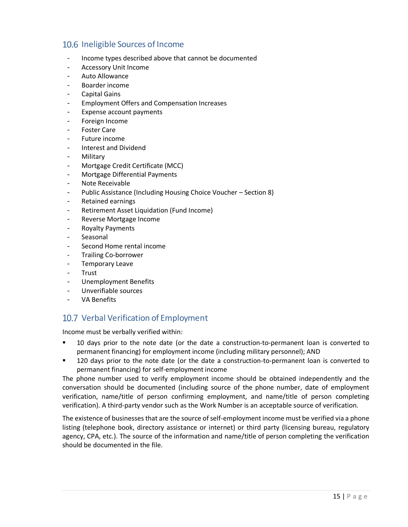## <span id="page-14-0"></span>10.6 Ineligible Sources of Income

- Income types described above that cannot be documented
- Accessory Unit Income
- Auto Allowance
- Boarder income
- Capital Gains
- Employment Offers and Compensation Increases
- Expense account payments
- Foreign Income
- Foster Care
- Future income
- Interest and Dividend
- **Military**
- Mortgage Credit Certificate (MCC)
- Mortgage Differential Payments
- Note Receivable
- Public Assistance (Including Housing Choice Voucher Section 8)
- Retained earnings
- Retirement Asset Liquidation (Fund Income)
- Reverse Mortgage Income
- Royalty Payments
- **Seasonal**
- Second Home rental income
- Trailing Co-borrower
- Temporary Leave
- **Trust**
- Unemployment Benefits
- Unverifiable sources
- VA Benefits

## <span id="page-14-1"></span>10.7 Verbal Verification of Employment

Income must be verbally verified within:

- 10 days prior to the note date (or the date a construction-to-permanent loan is converted to permanent financing) for employment income (including military personnel); AND
- 120 days prior to the note date (or the date a construction-to-permanent loan is converted to permanent financing) for self-employment income

The phone number used to verify employment income should be obtained independently and the conversation should be documented (including source of the phone number, date of employment verification, name/title of person confirming employment, and name/title of person completing verification). A third-party vendor such as the Work Number is an acceptable source of verification.

The existence of businesses that are the source of self-employmentincome must be verified via a phone listing (telephone book, directory assistance or internet) or third party (licensing bureau, regulatory agency, CPA, etc.). The source of the information and name/title of person completing the verification should be documented in the file.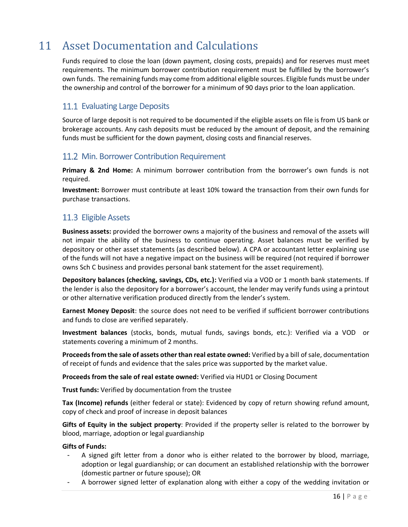## <span id="page-15-0"></span>11 Asset Documentation and Calculations

Funds required to close the loan (down payment, closing costs, prepaids) and for reserves must meet requirements. The minimum borrower contribution requirement must be fulfilled by the borrower's own funds. The remaining funds may come from additional eligible sources. Eligible funds must be under the ownership and control of the borrower for a minimum of 90 days prior to the loan application.

## <span id="page-15-1"></span>11.1 Evaluating Large Deposits

Source of large deposit is not required to be documented if the eligible assets on file is from US bank or brokerage accounts. Any cash deposits must be reduced by the amount of deposit, and the remaining funds must be sufficient for the down payment, closing costs and financial reserves.

## <span id="page-15-2"></span>11.2 Min. Borrower Contribution Requirement

**Primary & 2nd Home:** A minimum borrower contribution from the borrower's own funds is not required.

**Investment:** Borrower must contribute at least 10% toward the transaction from their own funds for purchase transactions.

## <span id="page-15-3"></span>11.3 Eligible Assets

**Business assets:** provided the borrower owns a majority of the business and removal of the assets will not impair the ability of the business to continue operating. Asset balances must be verified by depository or other asset statements (as described below). A CPA or accountant letter explaining use of the funds will not have a negative impact on the business will be required (not required if borrower owns Sch C business and provides personal bank statement for the asset requirement).

**Depository balances (checking, savings, CDs, etc.):** Verified via a VOD or 1 month bank statements. If the lender is also the depository for a borrower's account, the lender may verify funds using a printout or other alternative verification produced directly from the lender's system.

**Earnest Money Deposit**: the source does not need to be verified if sufficient borrower contributions and funds to close are verified separately.

**Investment balances** (stocks, bonds, mutual funds, savings bonds, etc.): Verified via a VOD or statements covering a minimum of 2 months.

**Proceeds from the sale of assets otherthan real estate owned:** Verified by a bill of sale, documentation of receipt of funds and evidence that the sales price was supported by the market value.

**Proceeds from the sale of real estate owned:** Verified via HUD1 or Closing Document

**Trust funds:** Verified by documentation from the trustee

**Tax (Income) refunds** (either federal or state): Evidenced by copy of return showing refund amount, copy of check and proof of increase in deposit balances

**Gifts of Equity in the subject property**: Provided if the property seller is related to the borrower by blood, marriage, adoption or legal guardianship

#### **Gifts of Funds:**

- A signed gift letter from a donor who is either related to the borrower by blood, marriage, adoption or legal guardianship; or can document an established relationship with the borrower (domestic partner or future spouse); OR
- A borrower signed letter of explanation along with either a copy of the wedding invitation or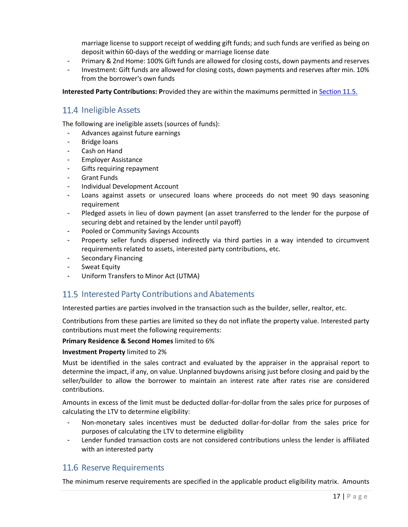marriage license to support receipt of wedding gift funds; and such funds are verified as being on deposit within 60-days of the wedding or marriage license date

- Primary & 2nd Home: 100% Gift funds are allowed for closing costs, down payments and reserves
- Investment: Gift funds are allowed for closing costs, down payments and reserves after min. 10% from the borrower's own funds

**Interested Party Contributions: P**rovided they are within the maximums permitted in [Section](#page-16-1) 11.5.

## <span id="page-16-0"></span>11.4 Ineligible Assets

The following are ineligible assets (sources of funds):

- Advances against future earnings
- Bridge loans
- Cash on Hand
- Employer Assistance
- Gifts requiring repayment
- Grant Funds
- Individual Development Account
- Loans against assets or unsecured loans where proceeds do not meet 90 days seasoning requirement
- Pledged assets in lieu of down payment (an asset transferred to the lender for the purpose of securing debt and retained by the lender until payoff)
- Pooled or Community Savings Accounts
- Property seller funds dispersed indirectly via third parties in a way intended to circumvent requirements related to assets, interested party contributions, etc.
- Secondary Financing
- Sweat Equity
- Uniform Transfers to Minor Act (UTMA)

## <span id="page-16-1"></span>11.5 Interested Party Contributions and Abatements

Interested parties are parties involved in the transaction such as the builder, seller, realtor, etc.

Contributions from these parties are limited so they do not inflate the property value. Interested party contributions must meet the following requirements:

#### **Primary Residence & Second Homes** limited to 6%

#### **Investment Property** limited to 2%

Must be identified in the sales contract and evaluated by the appraiser in the appraisal report to determine the impact, if any, on value. Unplanned buydowns arising just before closing and paid by the seller/builder to allow the borrower to maintain an interest rate after rates rise are considered contributions.

Amounts in excess of the limit must be deducted dollar-for-dollar from the sales price for purposes of calculating the LTV to determine eligibility:

- Non-monetary sales incentives must be deducted dollar-for-dollar from the sales price for purposes of calculating the LTV to determine eligibility
- Lender funded transaction costs are not considered contributions unless the lender is affiliated with an interested party

## <span id="page-16-2"></span>11.6 Reserve Requirements

The minimum reserve requirements are specified in the applicable product eligibility matrix. Amounts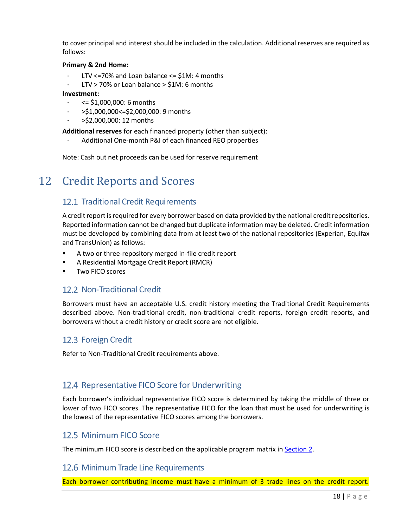to cover principal and interest should be included in the calculation. Additional reserves are required as follows:

#### **Primary & 2nd Home:**

- LTV <=70% and Loan balance <=  $$1M:4$  months
- $LTV$  > 70% or Loan balance > \$1M: 6 months

#### **Investment:**

- <= \$1,000,000: 6 months
- >\$1,000,000<=\$2,000,000: 9 months
- >\$2,000,000: 12 months

**Additional reserves** for each financed property (other than subject):

- Additional One-month P&I of each financed REO properties

Note: Cash out net proceeds can be used for reserve requirement

## <span id="page-17-1"></span><span id="page-17-0"></span>12 Credit Reports and Scores

## 12.1 Traditional Credit Requirements

A credit report is required for every borrower based on data provided by the national credit repositories. Reported information cannot be changed but duplicate information may be deleted. Credit information must be developed by combining data from at least two of the national repositories (Experian, Equifax and TransUnion) as follows:

- A two or three-repository merged in-file credit report
- A Residential Mortgage Credit Report (RMCR)
- <span id="page-17-2"></span>Two FICO scores

### 12.2 Non-Traditional Credit

Borrowers must have an acceptable U.S. credit history meeting the Traditional Credit Requirements described above. Non-traditional credit, non-traditional credit reports, foreign credit reports, and borrowers without a credit history or credit score are not eligible.

## <span id="page-17-3"></span>12.3 Foreign Credit

Refer to Non-Traditional Credit requirements above.

## <span id="page-17-4"></span>12.4 Representative FICO Score for Underwriting

Each borrower's individual representative FICO score is determined by taking the middle of three or lower of two FICO scores. The representative FICO for the loan that must be used for underwriting is the lowest of the representative FICO scores among the borrowers.

## <span id="page-17-5"></span>12.5 Minimum FICO Score

The minimum FICO score is described on the applicable program matrix in [Section 2.](#page-6-0)

#### <span id="page-17-6"></span>12.6 Minimum Trade Line Requirements

Each borrower contributing income must have a minimum of 3 trade lines on the credit report.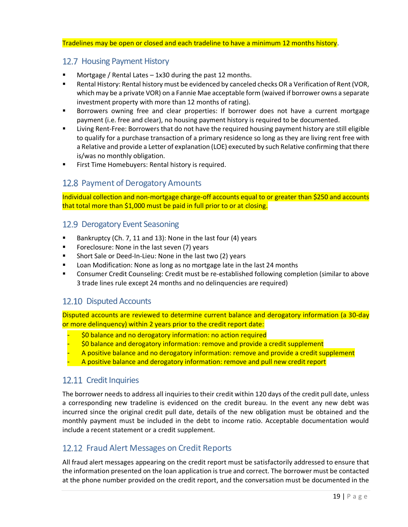#### Tradelines may be open or closed and each tradeline to have a minimum 12 months history.

## <span id="page-18-0"></span>12.7 Housing Payment History

- Mortgage / Rental Lates 1x30 during the past 12 months.
- Rental History: Rental history must be evidenced by canceled checks OR a Verification of Rent (VOR, which may be a private VOR) on a Fannie Mae acceptable form (waived if borrower owns a separate investment property with more than 12 months of rating).
- Borrowers owning free and clear properties: If borrower does not have a current mortgage payment (i.e. free and clear), no housing payment history is required to be documented.
- Living Rent-Free: Borrowers that do not have the required housing payment history are still eligible to qualify for a purchase transaction of a primary residence so long as they are living rent free with a Relative and provide a Letter of explanation (LOE) executed by such Relative confirming that there is/was no monthly obligation.
- <span id="page-18-1"></span>**EXECT:** First Time Homebuyers: Rental history is required.

## 12.8 Payment of Derogatory Amounts

Individual collection and non-mortgage charge-off accounts equal to or greater than \$250 and accounts that total more than \$1,000 must be paid in full prior to or at closing.

#### <span id="page-18-2"></span>12.9 Derogatory Event Seasoning

- Bankruptcy (Ch. 7, 11 and 13): None in the last four (4) years
- Foreclosure: None in the last seven (7) years
- Short Sale or Deed-In-Lieu: None in the last two (2) years
- Loan Modification: None as long as no mortgage late in the last 24 months
- **■** Consumer Credit Counseling: Credit must be re-established following completion (similar to above 3 trade lines rule except 24 months and no delinquencies are required)

## <span id="page-18-3"></span>12.10 Disputed Accounts

Disputed accounts are reviewed to determine current balance and derogatory information (a 30-day or more delinquency) within 2 years prior to the credit report date:

- \$0 balance and no derogatory information: no action required
- \$0 balance and derogatory information: remove and provide a credit supplement
- A positive balance and no derogatory information: remove and provide a credit supplement
- A positive balance and derogatory information: remove and pull new credit report

## <span id="page-18-4"></span>12.11 Credit Inquiries

The borrower needs to address all inquiries to their credit within 120 days of the credit pull date, unless a corresponding new tradeline is evidenced on the credit bureau. In the event any new debt was incurred since the original credit pull date, details of the new obligation must be obtained and the monthly payment must be included in the debt to income ratio. Acceptable documentation would include a recent statement or a credit supplement.

## <span id="page-18-5"></span>12.12 Fraud Alert Messages on Credit Reports

All fraud alert messages appearing on the credit report must be satisfactorily addressed to ensure that the information presented on the loan application is true and correct. The borrower must be contacted at the phone number provided on the credit report, and the conversation must be documented in the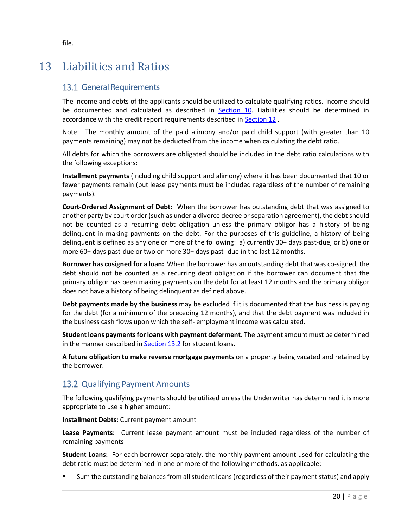## <span id="page-19-1"></span><span id="page-19-0"></span>13 Liabilities and Ratios

## 13.1 General Requirements

The income and debts of the applicants should be utilized to calculate qualifying ratios. Income should be documented and calculated as described in [Section](#page-12-3) 10. Liabilities should be determined in accordance with the credit report requirements described in [Section](#page-17-0) 12 .

Note: The monthly amount of the paid alimony and/or paid child support (with greater than 10 payments remaining) may not be deducted from the income when calculating the debt ratio.

All debts for which the borrowers are obligated should be included in the debt ratio calculations with the following exceptions:

**Installment payments** (including child support and alimony) where it has been documented that 10 or fewer payments remain (but lease payments must be included regardless of the number of remaining payments).

**Court-Ordered Assignment of Debt:** When the borrower has outstanding debt that was assigned to another party by court order (such as under a divorce decree orseparation agreement), the debt should not be counted as a recurring debt obligation unless the primary obligor has a history of being delinquent in making payments on the debt. For the purposes of this guideline, a history of being delinquent is defined as any one or more of the following: a) currently 30+ days past-due, or b) one or more 60+ days past-due or two or more 30+ days past- due in the last 12 months.

**Borrower has cosigned for a loan:** When the borrower has an outstanding debt that was co-signed, the debt should not be counted as a recurring debt obligation if the borrower can document that the primary obligor has been making payments on the debt for at least 12 months and the primary obligor does not have a history of being delinquent as defined above.

**Debt payments made by the business** may be excluded if it is documented that the business is paying for the debt (for a minimum of the preceding 12 months), and that the debt payment was included in the business cash flows upon which the self- employment income was calculated.

**Student loans paymentsfor loans with payment deferment.** The payment amount must be determined in the manner described in [Section](#page-19-2) 13.2 for student loans.

**A future obligation to make reverse mortgage payments** on a property being vacated and retained by the borrower.

## <span id="page-19-2"></span>13.2 Qualifying Payment Amounts

The following qualifying payments should be utilized unless the Underwriter has determined it is more appropriate to use a higher amount:

**Installment Debts:** Current payment amount

**Lease Payments:** Current lease payment amount must be included regardless of the number of remaining payments

**Student Loans:** For each borrower separately, the monthly payment amount used for calculating the debt ratio must be determined in one or more of the following methods, as applicable:

Sum the outstanding balances from all student loans (regardless of their payment status) and apply

file.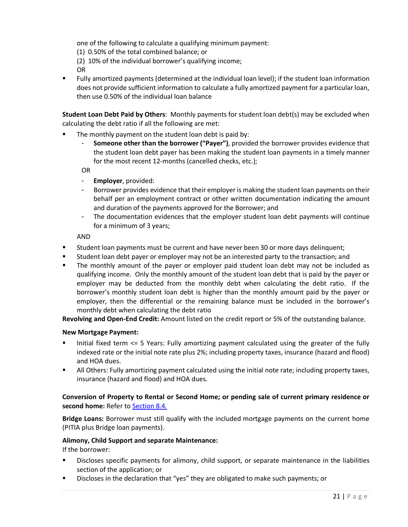one of the following to calculate a qualifying minimum payment:

(1) 0.50% of the total combined balance; or

(2) 10% of the individual borrower's qualifying income;

OR

▪ Fully amortized payments (determined at the individual loan level); if the student loan information does not provide sufficient information to calculate a fully amortized payment for a particular loan, then use 0.50% of the individual loan balance

**Student Loan Debt Paid by Others**: Monthly payments for student loan debt(s) may be excluded when calculating the debt ratio if all the following are met:

- The monthly payment on the student loan debt is paid by:
	- **Someone other than the borrower ("Payer")**, provided the borrower provides evidence that the student loan debt payer has been making the student loan payments in a timely manner for the most recent 12-months (cancelled checks, etc.);

OR

- **Employer**, provided:
- Borrower provides evidence that their employer is making the student loan payments on their behalf per an employment contract or other written documentation indicating the amount and duration of the payments approved for the Borrower; and
- The documentation evidences that the employer student loan debt payments will continue for a minimum of 3 years;

AND

- **■** Student loan payments must be current and have never been 30 or more days delinguent;
- Student loan debt payer or employer may not be an interested party to the transaction; and
- The monthly amount of the payer or employer paid student loan debt may not be included as qualifying income. Only the monthly amount of the student loan debt that is paid by the payer or employer may be deducted from the monthly debt when calculating the debt ratio. If the borrower's monthly student loan debt is higher than the monthly amount paid by the payer or employer, then the differential or the remaining balance must be included in the borrower's monthly debt when calculating the debt ratio

**Revolving and Open-End Credit:** Amount listed on the credit report or 5% of the outstanding balance.

#### **New Mortgage Payment:**

- Initial fixed term <= 5 Years: Fully amortizing payment calculated using the greater of the fully indexed rate or the initial note rate plus 2%; including property taxes, insurance (hazard and flood) and HOA dues.
- **E** All Others: Fully amortizing payment calculated using the initial note rate; including property taxes, insurance (hazard and flood) and HOA dues.

#### **Conversion of Property to Rental or Second Home; or pending sale of current primary residence or second home:** Refer to [Section](#page-10-5) 8.4.

**Bridge Loans:** Borrower must still qualify with the included mortgage payments on the current home (PITIA plus Bridge loan payments).

#### **Alimony, Child Support and separate Maintenance:**

If the borrower:

- Discloses specific payments for alimony, child support, or separate maintenance in the liabilities section of the application; or
- Discloses in the declaration that "yes" they are obligated to make such payments; or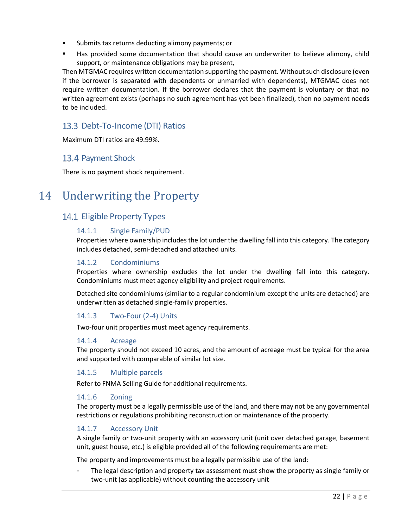- Submits tax returns deducting alimony payments; or
- Has provided some documentation that should cause an underwriter to believe alimony, child support, or maintenance obligations may be present,

Then MTGMAC requires written documentation supporting the payment. Withoutsuch disclosure (even if the borrower is separated with dependents or unmarried with dependents), MTGMAC does not require written documentation. If the borrower declares that the payment is voluntary or that no written agreement exists (perhaps no such agreement has yet been finalized), then no payment needs to be included.

## <span id="page-21-0"></span>13.3 Debt-To-Income (DTI) Ratios

Maximum DTI ratios are 49.99%.

## <span id="page-21-1"></span>13.4 Payment Shock

There is no payment shock requirement.

## <span id="page-21-3"></span><span id="page-21-2"></span>14 Underwriting the Property

## <span id="page-21-4"></span>14.1 Eligible Property Types

#### 14.1.1 Single Family/PUD

Properties where ownership includes the lot under the dwelling fall into this category. The category includes detached, semi-detached and attached units.

#### <span id="page-21-5"></span>14.1.2 Condominiums

Properties where ownership excludes the lot under the dwelling fall into this category. Condominiums must meet agency eligibility and project requirements.

Detached site condominiums (similar to a regular condominium except the units are detached) are underwritten as detached single-family properties.

#### <span id="page-21-6"></span>14.1.3 Two-Four (2-4) Units

Two-four unit properties must meet agency requirements.

#### <span id="page-21-7"></span>14.1.4 Acreage

The property should not exceed 10 acres, and the amount of acreage must be typical for the area and supported with comparable of similar lot size.

#### <span id="page-21-8"></span>14.1.5 Multiple parcels

Refer to FNMA Selling Guide for additional requirements.

#### <span id="page-21-9"></span>14.1.6 Zoning

The property must be a legally permissible use of the land, and there may not be any governmental restrictions or regulations prohibiting reconstruction or maintenance of the property.

#### <span id="page-21-10"></span>14.1.7 Accessory Unit

A single family or two-unit property with an accessory unit (unit over detached garage, basement unit, guest house, etc.) is eligible provided all of the following requirements are met:

The property and improvements must be a legally permissible use of the land:

The legal description and property tax assessment must show the property as single family or two-unit (as applicable) without counting the accessory unit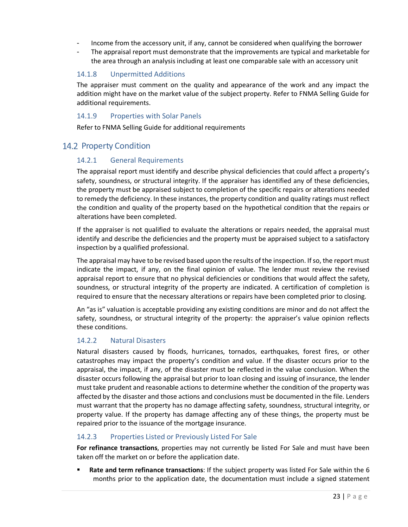- Income from the accessory unit, if any, cannot be considered when qualifying the borrower
- The appraisal report must demonstrate that the improvements are typical and marketable for the area through an analysis including at least one comparable sale with an accessory unit

#### <span id="page-22-0"></span>14.1.8 Unpermitted Additions

The appraiser must comment on the quality and appearance of the work and any impact the addition might have on the market value of the subject property. Refer to FNMA Selling Guide for additional requirements.

#### 14.1.9 Properties with Solar Panels

Refer to FNMA Selling Guide for additional requirements

## <span id="page-22-3"></span><span id="page-22-2"></span><span id="page-22-1"></span>14.2 Property Condition

#### 14.2.1 General Requirements

The appraisal report must identify and describe physical deficiencies that could affect a property's safety, soundness, or structural integrity. If the appraiser has identified any of these deficiencies, the property must be appraised subject to completion of the specific repairs or alterations needed to remedy the deficiency. In these instances, the property condition and quality ratings must reflect the condition and quality of the property based on the hypothetical condition that the repairs or alterations have been completed.

If the appraiser is not qualified to evaluate the alterations or repairs needed, the appraisal must identify and describe the deficiencies and the property must be appraised subject to a satisfactory inspection by a qualified professional.

The appraisal may have to be revised based upon the results of the inspection. If so, the report must indicate the impact, if any, on the final opinion of value. The lender must review the revised appraisal report to ensure that no physical deficiencies or conditions that would affect the safety, soundness, or structural integrity of the property are indicated. A certification of completion is required to ensure that the necessary alterations or repairs have been completed prior to closing.

An "as is" valuation is acceptable providing any existing conditions are minor and do not affect the safety, soundness, or structural integrity of the property: the appraiser's value opinion reflects these conditions.

#### <span id="page-22-4"></span>14.2.2 Natural Disasters

Natural disasters caused by floods, hurricanes, tornados, earthquakes, forest fires, or other catastrophes may impact the property's condition and value. If the disaster occurs prior to the appraisal, the impact, if any, of the disaster must be reflected in the value conclusion. When the disaster occurs following the appraisal but prior to loan closing and issuing of insurance, the lender musttake prudent and reasonable actions to determine whether the condition of the property was affected by the disaster and those actions and conclusions must be documented in the file. Lenders must warrant that the property has no damage affecting safety, soundness, structural integrity, or property value. If the property has damage affecting any of these things, the property must be repaired prior to the issuance of the mortgage insurance.

#### <span id="page-22-5"></span>14.2.3 Properties Listed or Previously Listed For Sale

**For refinance transactions**, properties may not currently be listed For Sale and must have been taken off the market on or before the application date.

**Rate and term refinance transactions:** If the subject property was listed For Sale within the 6 months prior to the application date, the documentation must include a signed statement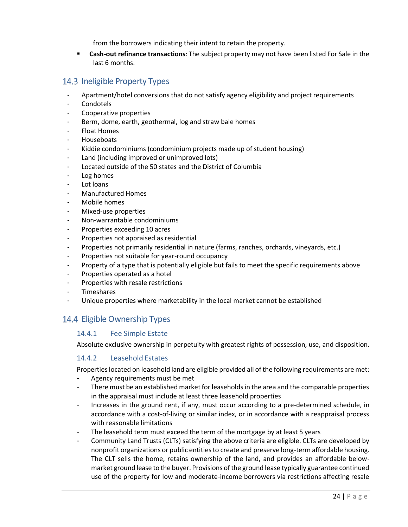from the borrowers indicating their intent to retain the property.

▪ **Cash-out refinance transactions**: The subject property may not have been listed For Sale in the last 6 months.

## <span id="page-23-0"></span>14.3 Ineligible Property Types

- Apartment/hotel conversions that do not satisfy agency eligibility and project requirements
- **Condotels**
- Cooperative properties
- Berm, dome, earth, geothermal, log and straw bale homes
- **Float Homes**
- Houseboats
- Kiddie condominiums (condominium projects made up of student housing)
- Land (including improved or unimproved lots)
- Located outside of the 50 states and the District of Columbia
- Log homes
- Lot loans
- Manufactured Homes
- Mobile homes
- Mixed-use properties
- Non-warrantable condominiums
- Properties exceeding 10 acres
- Properties not appraised as residential
- Properties not primarily residential in nature (farms, ranches, orchards, vineyards, etc.)
- Properties not suitable for year-round occupancy
- Property of a type that is potentially eligible but fails to meet the specific requirements above
- Properties operated as a hotel
- Properties with resale restrictions
- **Timeshares**
- Unique properties where marketability in the local market cannot be established

## <span id="page-23-2"></span><span id="page-23-1"></span>14.4 Eligible Ownership Types

#### 14.4.1 Fee Simple Estate

Absolute exclusive ownership in perpetuity with greatest rights of possession, use, and disposition.

#### <span id="page-23-3"></span>14.4.2 Leasehold Estates

Propertieslocated on leasehold land are eligible provided all of the following requirements are met:

- Agency requirements must be met
- There must be an established market for leaseholds in the area and the comparable properties in the appraisal must include at least three leasehold properties
- Increases in the ground rent, if any, must occur according to a pre-determined schedule, in accordance with a cost-of-living or similar index, or in accordance with a reappraisal process with reasonable limitations
- The leasehold term must exceed the term of the mortgage by at least 5 years
- Community Land Trusts (CLTs) satisfying the above criteria are eligible. CLTs are developed by nonprofit organizations or public entities to create and preserve long-term affordable housing. The CLT sells the home, retains ownership of the land, and provides an affordable belowmarket ground lease to the buyer. Provisions of the ground lease typically guarantee continued use of the property for low and moderate-income borrowers via restrictions affecting resale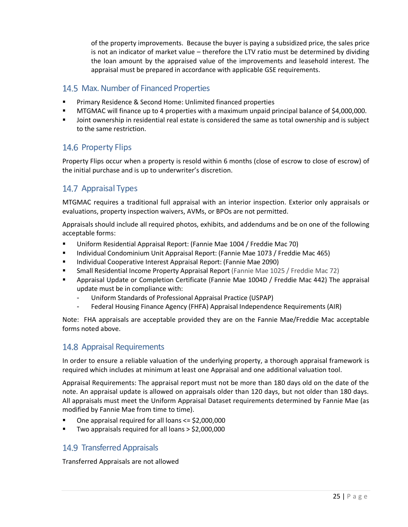of the property improvements. Because the buyer is paying a subsidized price, the sales price is not an indicator of market value – therefore the LTV ratio must be determined by dividing the loan amount by the appraised value of the improvements and leasehold interest. The appraisal must be prepared in accordance with applicable GSE requirements.

## <span id="page-24-0"></span>14.5 Max. Number of Financed Properties

- Primary Residence & Second Home: Unlimited financed properties
- MTGMAC will finance up to 4 properties with a maximum unpaid principal balance of \$4,000,000.
- Joint ownership in residential real estate is considered the same as total ownership and is subject to the same restriction.

## <span id="page-24-1"></span>14.6 Property Flips

Property Flips occur when a property is resold within 6 months (close of escrow to close of escrow) of the initial purchase and is up to underwriter's discretion.

## <span id="page-24-2"></span>14.7 Appraisal Types

MTGMAC requires a traditional full appraisal with an interior inspection. Exterior only appraisals or evaluations, property inspection waivers, AVMs, or BPOs are not permitted.

Appraisals should include all required photos, exhibits, and addendums and be on one of the following acceptable forms:

- Uniform Residential Appraisal Report: (Fannie Mae 1004 / Freddie Mac 70)
- Individual Condominium Unit Appraisal Report: (Fannie Mae 1073 / Freddie Mac 465)
- Individual Cooperative Interest Appraisal Report: (Fannie Mae 2090)
- Small Residential Income Property Appraisal Report (Fannie Mae 1025 / Freddie Mac 72)
- Appraisal Update or Completion Certificate (Fannie Mae 1004D / Freddie Mac 442) The appraisal update must be in compliance with:
	- Uniform Standards of Professional Appraisal Practice (USPAP)
	- Federal Housing Finance Agency (FHFA) Appraisal Independence Requirements (AIR)

Note: FHA appraisals are acceptable provided they are on the Fannie Mae/Freddie Mac acceptable forms noted above.

### <span id="page-24-3"></span>14.8 Appraisal Requirements

In order to ensure a reliable valuation of the underlying property, a thorough appraisal framework is required which includes at minimum at least one Appraisal and one additional valuation tool.

Appraisal Requirements: The appraisal report must not be more than 180 days old on the date of the note. An appraisal update is allowed on appraisals older than 120 days, but not older than 180 days. All appraisals must meet the Uniform Appraisal Dataset requirements determined by Fannie Mae (as modified by Fannie Mae from time to time).

- One appraisal required for all loans  $\le$  \$2,000,000
- <span id="page-24-4"></span>Two appraisals required for all loans  $>$  \$2,000,000

## 14.9 Transferred Appraisals

Transferred Appraisals are not allowed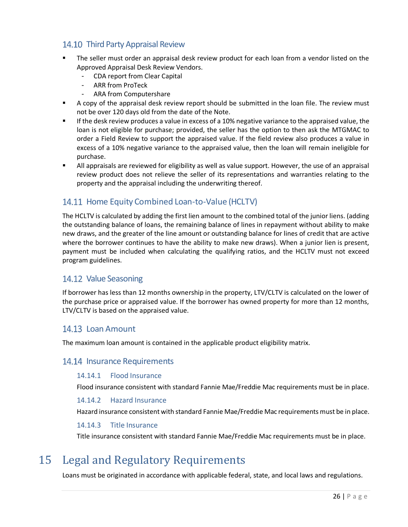## <span id="page-25-0"></span>14.10 Third Party Appraisal Review

- The seller must order an appraisal desk review product for each loan from a vendor listed on the Approved Appraisal Desk Review Vendors.
	- CDA report from Clear Capital
	- ARR from ProTeck
	- ARA from Computershare
- A copy of the appraisal desk review report should be submitted in the loan file. The review must not be over 120 days old from the date of the Note.
- **■** If the desk review produces a value in excess of a 10% negative variance to the appraised value, the loan is not eligible for purchase; provided, the seller has the option to then ask the MTGMAC to order a Field Review to support the appraised value. If the field review also produces a value in excess of a 10% negative variance to the appraised value, then the loan will remain ineligible for purchase.
- All appraisals are reviewed for eligibility as well as value support. However, the use of an appraisal review product does not relieve the seller of its representations and warranties relating to the property and the appraisal including the underwriting thereof.

## <span id="page-25-1"></span>14.11 Home Equity Combined Loan-to-Value (HCLTV)

The HCLTV is calculated by adding the first lien amount to the combined total of the junior liens. (adding the outstanding balance of loans, the remaining balance of lines in repayment without ability to make new draws, and the greater of the line amount or outstanding balance for lines of credit that are active where the borrower continues to have the ability to make new draws). When a junior lien is present, payment must be included when calculating the qualifying ratios, and the HCLTV must not exceed program guidelines.

## <span id="page-25-2"></span>14.12 Value Seasoning

If borrower has less than 12 months ownership in the property, LTV/CLTV is calculated on the lower of the purchase price or appraised value. If the borrower has owned property for more than 12 months, LTV/CLTV is based on the appraised value.

## <span id="page-25-3"></span>14.13 Loan Amount

The maximum loan amount is contained in the applicable product eligibility matrix.

### <span id="page-25-5"></span><span id="page-25-4"></span>14.14 Insurance Requirements

#### 14.14.1 Flood Insurance

Flood insurance consistent with standard Fannie Mae/Freddie Mac requirements must be in place.

#### <span id="page-25-6"></span>14.14.2 Hazard Insurance

Hazard insurance consistent with standard Fannie Mae/Freddie Mac requirements must be in place.

#### 14.14.3 Title Insurance

Title insurance consistent with standard Fannie Mae/Freddie Mac requirements must be in place.

## <span id="page-25-8"></span><span id="page-25-7"></span>15 Legal and Regulatory Requirements

Loans must be originated in accordance with applicable federal, state, and local laws and regulations.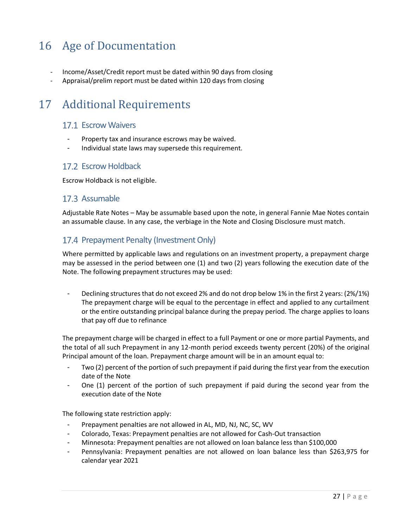## <span id="page-26-0"></span>16 Age of Documentation

- <span id="page-26-1"></span>- Income/Asset/Credit report must be dated within 90 days from closing
- Appraisal/prelim report must be dated within 120 days from closing

## <span id="page-26-2"></span>17 Additional Requirements

## 17.1 Escrow Waivers

- Property tax and insurance escrows may be waived.
- Individual state laws may supersede this requirement.

### <span id="page-26-3"></span>17.2 Escrow Holdback

Escrow Holdback is not eligible.

#### <span id="page-26-4"></span>17.3 Assumable

Adjustable Rate Notes – May be assumable based upon the note, in general Fannie Mae Notes contain an assumable clause. In any case, the verbiage in the Note and Closing Disclosure must match.

## <span id="page-26-5"></span>17.4 Prepayment Penalty (Investment Only)

Where permitted by applicable laws and regulations on an investment property, a prepayment charge may be assessed in the period between one (1) and two (2) years following the execution date of the Note. The following prepayment structures may be used:

- Declining structures that do not exceed 2% and do not drop below 1% in the first 2 years: (2%/1%) The prepayment charge will be equal to the percentage in effect and applied to any curtailment or the entire outstanding principal balance during the prepay period. The charge applies to loans that pay off due to refinance

The prepayment charge will be charged in effect to a full Payment or one or more partial Payments, and the total of all such Prepayment in any 12-month period exceeds twenty percent (20%) of the original Principal amount of the loan. Prepayment charge amount will be in an amount equal to:

- Two (2) percent of the portion of such prepayment if paid during the first year from the execution date of the Note
- One (1) percent of the portion of such prepayment if paid during the second year from the execution date of the Note

The following state restriction apply:

- Prepayment penalties are not allowed in AL, MD, NJ, NC, SC, WV
- Colorado, Texas: Prepayment penalties are not allowed for Cash-Out transaction
- Minnesota: Prepayment penalties are not allowed on loan balance less than \$100,000
- Pennsylvania: Prepayment penalties are not allowed on loan balance less than \$263,975 for calendar year 2021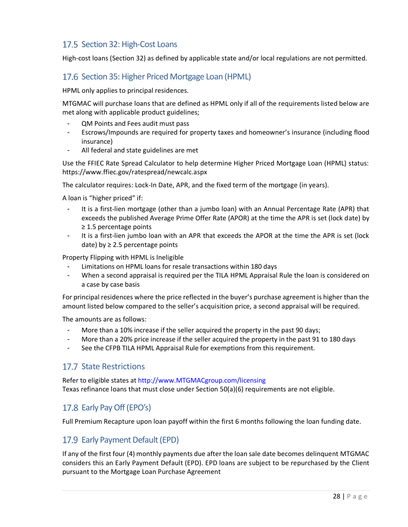## <span id="page-27-0"></span>17.5 Section 32: High-Cost Loans

High-cost loans (Section 32) as defined by applicable state and/or local regulations are not permitted.

## <span id="page-27-1"></span>17.6 Section 35: Higher Priced Mortgage Loan (HPML)

HPML only applies to principal residences.

MTGMAC will purchase loans that are defined as HPML only if all of the requirements listed below are met along with applicable product guidelines;

- QM Points and Fees audit must pass
- Escrows/Impounds are required for property taxes and homeowner's insurance (including flood insurance)
- All federal and state guidelines are met

Use the FFIEC Rate Spread Calculator to help determine Higher Priced Mortgage Loan (HPML) status: https://www.ffiec.gov/ratespread/newcalc.aspx

The calculator requires: Lock-In Date, APR, and the fixed term of the mortgage (in years).

A loan is "higher priced" if:

- It is a first-lien mortgage (other than a jumbo loan) with an Annual Percentage Rate (APR) that exceeds the published Average Prime Offer Rate (APOR) at the time the APR is set (lock date) by ≥ 1.5 percentage points
- It is a first-lien jumbo loan with an APR that exceeds the APOR at the time the APR is set (lock date) by  $\geq$  2.5 percentage points

Property Flipping with HPML is Ineligible

- Limitations on HPML loans for resale transactions within 180 days
- When a second appraisal is required per the TILA HPML Appraisal Rule the loan is considered on a case by case basis

For principal residences where the price reflected in the buyer's purchase agreement is higher than the amount listed below compared to the seller's acquisition price, a second appraisal will be required.

The amounts are as follows:

- More than a 10% increase if the seller acquired the property in the past 90 days;
- More than a 20% price increase if the seller acquired the property in the past 91 to 180 days
- See the CFPB TILA HPML Appraisal Rule for exemptions from this requirement.

### <span id="page-27-2"></span>17.7 State Restrictions

Refer to eligible states at http://www.MTGMACgroup.com/licensing Texas refinance loans that must close under Section 50(a)(6) requirements are not eligible.

## <span id="page-27-3"></span>17.8 Early Pay Off (EPO's)

Full Premium Recapture upon loan payoff within the first 6 months following the loan funding date.

### <span id="page-27-4"></span>17.9 Early Payment Default (EPD)

If any of the first four (4) monthly payments due after the loan sale date becomes delinquent MTGMAC considers this an Early Payment Default (EPD). EPD loans are subject to be repurchased by the Client pursuant to the Mortgage Loan Purchase Agreement